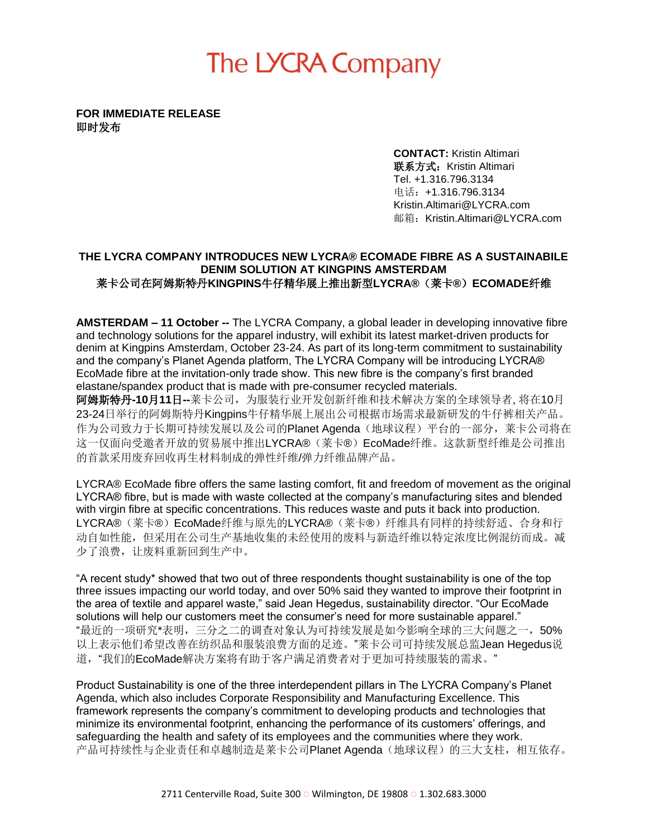# The LYCRA Company

**FOR IMMEDIATE RELEASE**  即时发布

> **CONTACT:** Kristin Altimari 联系方式: Kristin Altimari Tel. +1.316.796.3134 电话:+1.316.796.3134 Kristin.Altimari@LYCRA.com 邮箱:Kristin.Altimari@LYCRA.com

#### **THE LYCRA COMPANY INTRODUCES NEW LYCRA® ECOMADE FIBRE AS A SUSTAINABILE DENIM SOLUTION AT KINGPINS AMSTERDAM** 莱卡公司在阿姆斯特丹**KINGPINS**牛仔精华展上推出新型**LYCRA®**(莱卡**®**)**ECOMADE**纤维

**AMSTERDAM – 11 October --** The LYCRA Company, a global leader in developing innovative fibre and technology solutions for the apparel industry, will exhibit its latest market-driven products for denim at Kingpins Amsterdam, October 23-24. As part of its long-term commitment to sustainability and the company's Planet Agenda platform, The LYCRA Company will be introducing LYCRA® EcoMade fibre at the invitation-only trade show. This new fibre is the company's first branded elastane/spandex product that is made with pre-consumer recycled materials.

阿姆斯特丹**-10**月**11**日**--**莱卡公司,为服装行业开发创新纤维和技术解决方案的全球领导者, 将在10月 23-24日举行的阿姆斯特丹Kingpins牛仔精华展上展出公司根据市场需求最新研发的牛仔裤相关产品。 作为公司致力于长期可持续发展以及公司的Planet Agenda(地球议程)平台的一部分,莱卡公司将在 这一仅面向受邀者开放的贸易展中推出LYCRA®(莱卡®)EcoMade纤维。这款新型纤维是公司推出 的首款采用废弃回收再生材料制成的弹性纤维/弹力纤维品牌产品。

LYCRA® EcoMade fibre offers the same lasting comfort, fit and freedom of movement as the original LYCRA® fibre, but is made with waste collected at the company's manufacturing sites and blended with virgin fibre at specific concentrations. This reduces waste and puts it back into production. LYCRA®(莱卡®)EcoMade纤维与原先的LYCRA®(莱卡®)纤维具有同样的持续舒适、合身和行 动自如性能,但采用在公司生产基地收集的未经使用的废料与新造纤维以特定浓度比例混纺而成。减 少了浪费,让废料重新回到生产中。

"A recent study\* showed that two out of three respondents thought sustainability is one of the top three issues impacting our world today, and over 50% said they wanted to improve their footprint in the area of textile and apparel waste," said Jean Hegedus, sustainability director. "Our EcoMade solutions will help our customers meet the consumer's need for more sustainable apparel." "最近的一项研究\*表明,三分之二的调查对象认为可持续发展是如今影响全球的三大问题之一,50% 以上表示他们希望改善在纺织品和服装浪费方面的足迹。"莱卡公司可持续发展总监Jean Hegedus说 道,"我们的EcoMade解决方案将有助于客户满足消费者对于更加可持续服装的需求。"

Product Sustainability is one of the three interdependent pillars in The LYCRA Company's Planet Agenda, which also includes Corporate Responsibility and Manufacturing Excellence. This framework represents the company's commitment to developing products and technologies that minimize its environmental footprint, enhancing the performance of its customers' offerings, and safeguarding the health and safety of its employees and the communities where they work. 产品可持续性与企业责任和卓越制造是莱卡公司Planet Agenda(地球议程)的三大支柱,相互依存。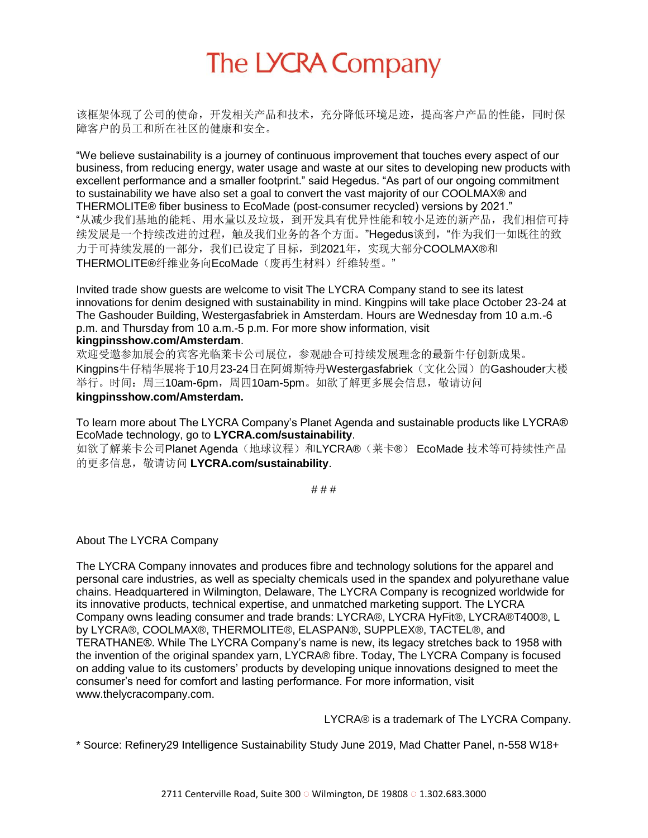# The LYCRA Company

该框架体现了公司的使命,开发相关产品和技术,充分降低环境足迹,提高客户产品的性能,同时保 障客户的员工和所在社区的健康和安全。

"We believe sustainability is a journey of continuous improvement that touches every aspect of our business, from reducing energy, water usage and waste at our sites to developing new products with excellent performance and a smaller footprint." said Hegedus. "As part of our ongoing commitment to sustainability we have also set a goal to convert the vast majority of our COOLMAX® and THERMOLITE® fiber business to EcoMade (post-consumer recycled) versions by 2021." "从减少我们基地的能耗、用水量以及垃圾,到开发具有优异性能和较小足迹的新产品,我们相信可持 续发展是一个持续改进的过程,触及我们业务的各个方面。"Hegedus谈到,"作为我们一如既往的致 力于可持续发展的一部分,我们已设定了目标,到2021年,实现大部分COOLMAX®和 THERMOLITE®纤维业务向EcoMade(废再生材料)纤维转型。"

Invited trade show guests are welcome to visit The LYCRA Company stand to see its latest innovations for denim designed with sustainability in mind. Kingpins will take place October 23-24 at The Gashouder Building, Westergasfabriek in Amsterdam. Hours are Wednesday from 10 a.m.-6 p.m. and Thursday from 10 a.m.-5 p.m. For more show information, visit **kingpinsshow.com/Amsterdam**.

欢迎受邀参加展会的宾客光临莱卡公司展位,参观融合可持续发展理念的最新牛仔创新成果。 Kingpins牛仔精华展将于10月23-24日在阿姆斯特丹Westergasfabriek(文化公园)的Gashouder大楼 举行。时间: 周三10am-6pm, 周四10am-5pm。如欲了解更多展会信息, 敬请访问 **kingpinsshow.com/Amsterdam.**

To learn more about The LYCRA Company's Planet Agenda and sustainable products like LYCRA® EcoMade technology, go to **LYCRA.com/sustainability**.

如欲了解莱卡公司Planet Agenda(地球议程)和LYCRA®(莱卡®) EcoMade 技术等可持续性产品 的更多信息,敬请访问 **LYCRA.com/sustainability**.

# # #

About The LYCRA Company

The LYCRA Company innovates and produces fibre and technology solutions for the apparel and personal care industries, as well as specialty chemicals used in the spandex and polyurethane value chains. Headquartered in Wilmington, Delaware, The LYCRA Company is recognized worldwide for its innovative products, technical expertise, and unmatched marketing support. The LYCRA Company owns leading consumer and trade brands: LYCRA®, LYCRA HyFit®, LYCRA®T400®, L by LYCRA®, COOLMAX®, THERMOLITE®, ELASPAN®, SUPPLEX®, TACTEL®, and TERATHANE®. While The LYCRA Company's name is new, its legacy stretches back to 1958 with the invention of the original spandex yarn, LYCRA® fibre. Today, The LYCRA Company is focused on adding value to its customers' products by developing unique innovations designed to meet the consumer's need for comfort and lasting performance. For more information, visit [www.thelycracompany.com.](http://www.thelycracompany.com/)

LYCRA® is a trademark of The LYCRA Company.

\* Source: Refinery29 Intelligence Sustainability Study June 2019, Mad Chatter Panel, n-558 W18+